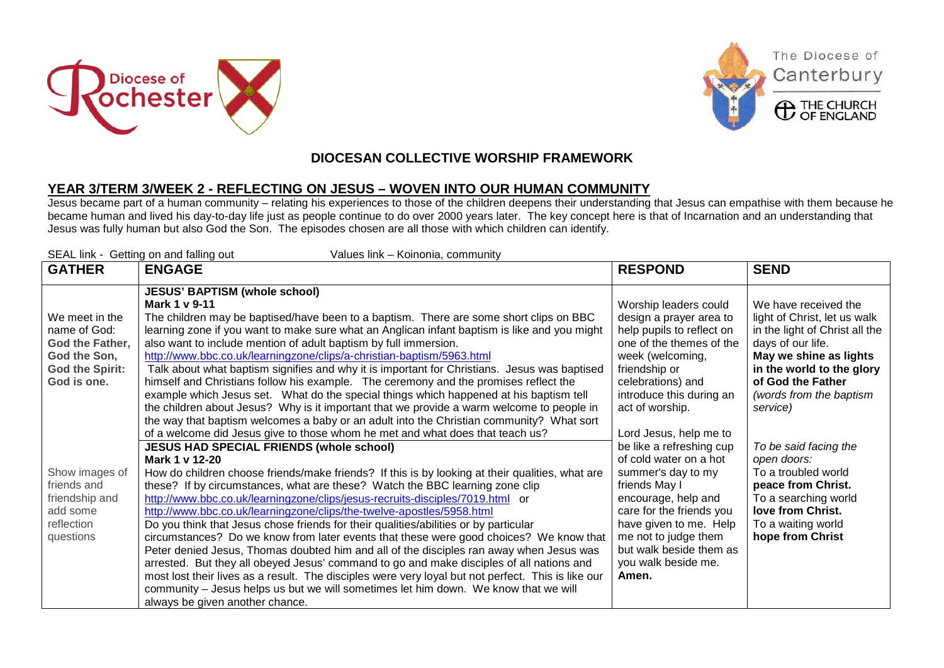





The Diocese of

Canterbury

## **DIOCESAN COLLECTIVE WORSHIP FRAMEWORK**

## **YEAR 3/TERM 3/WEEK 2 - REFLECTING ON JESUS – WOVEN INTO OUR HUMAN COMMUNITY**

Jesus became part of a human community – relating his experiences to those of the children deepens their understanding that Jesus can empathise with them because he became human and lived his day-to-day life just as people continue to do over 2000 years later. The key concept here is that of Incarnation and an understanding that Jesus was fully human but also God the Son. The episodes chosen are all those with which children can identify.

| SEAL link - Getting on and falling out<br>Values link - Koinonia, community                                |                                                                                                                                                                                                                                                                                                                                                                                                                                                                                                                                                                                                                                                                                                                                                                                                                                                                                                                                                                                                                         |                                                                                                                                                                                                                                                                                                                                                                                                                                                                                                           |                                                                                                                                                                                                                                |  |
|------------------------------------------------------------------------------------------------------------|-------------------------------------------------------------------------------------------------------------------------------------------------------------------------------------------------------------------------------------------------------------------------------------------------------------------------------------------------------------------------------------------------------------------------------------------------------------------------------------------------------------------------------------------------------------------------------------------------------------------------------------------------------------------------------------------------------------------------------------------------------------------------------------------------------------------------------------------------------------------------------------------------------------------------------------------------------------------------------------------------------------------------|-----------------------------------------------------------------------------------------------------------------------------------------------------------------------------------------------------------------------------------------------------------------------------------------------------------------------------------------------------------------------------------------------------------------------------------------------------------------------------------------------------------|--------------------------------------------------------------------------------------------------------------------------------------------------------------------------------------------------------------------------------|--|
| <b>GATHER</b>                                                                                              | <b>ENGAGE</b>                                                                                                                                                                                                                                                                                                                                                                                                                                                                                                                                                                                                                                                                                                                                                                                                                                                                                                                                                                                                           | <b>RESPOND</b>                                                                                                                                                                                                                                                                                                                                                                                                                                                                                            | <b>SEND</b>                                                                                                                                                                                                                    |  |
| We meet in the<br>name of God:<br>God the Father,<br>God the Son,<br><b>God the Spirit:</b><br>God is one. | <b>JESUS' BAPTISM (whole school)</b><br>Mark 1 v 9-11<br>The children may be baptised/have been to a baptism. There are some short clips on BBC<br>learning zone if you want to make sure what an Anglican infant baptism is like and you might<br>also want to include mention of adult baptism by full immersion.<br>http://www.bbc.co.uk/learningzone/clips/a-christian-baptism/5963.html<br>Talk about what baptism signifies and why it is important for Christians. Jesus was baptised<br>himself and Christians follow his example. The ceremony and the promises reflect the<br>example which Jesus set. What do the special things which happened at his baptism tell<br>the children about Jesus? Why is it important that we provide a warm welcome to people in<br>the way that baptism welcomes a baby or an adult into the Christian community? What sort<br>of a welcome did Jesus give to those whom he met and what does that teach us?                                                                | Worship leaders could<br>design a prayer area to<br>help pupils to reflect on<br>one of the themes of the<br>week (welcoming,<br>friendship or<br>celebrations) and<br>introduce this during an<br>act of worship.<br>Lord Jesus, help me to<br>be like a refreshing cup<br>of cold water on a hot<br>summer's day to my<br>friends May I<br>encourage, help and<br>care for the friends you<br>have given to me. Help<br>me not to judge them<br>but walk beside them as<br>you walk beside me.<br>Amen. | We have received the<br>light of Christ, let us walk<br>in the light of Christ all the<br>days of our life.<br>May we shine as lights<br>in the world to the glory<br>of God the Father<br>(words from the baptism<br>service) |  |
| Show images of<br>friends and<br>friendship and<br>add some<br>reflection<br>questions                     | <b>JESUS HAD SPECIAL FRIENDS (whole school)</b><br>Mark 1 v 12-20<br>How do children choose friends/make friends? If this is by looking at their qualities, what are<br>these? If by circumstances, what are these? Watch the BBC learning zone clip<br>http://www.bbc.co.uk/learningzone/clips/jesus-recruits-disciples/7019.html or<br>http://www.bbc.co.uk/learningzone/clips/the-twelve-apostles/5958.html<br>Do you think that Jesus chose friends for their qualities/abilities or by particular<br>circumstances? Do we know from later events that these were good choices? We know that<br>Peter denied Jesus, Thomas doubted him and all of the disciples ran away when Jesus was<br>arrested. But they all obeyed Jesus' command to go and make disciples of all nations and<br>most lost their lives as a result. The disciples were very loyal but not perfect. This is like our<br>community - Jesus helps us but we will sometimes let him down. We know that we will<br>always be given another chance. |                                                                                                                                                                                                                                                                                                                                                                                                                                                                                                           | To be said facing the<br>open doors:<br>To a troubled world<br>peace from Christ.<br>To a searching world<br>love from Christ.<br>To a waiting world<br>hope from Christ                                                       |  |